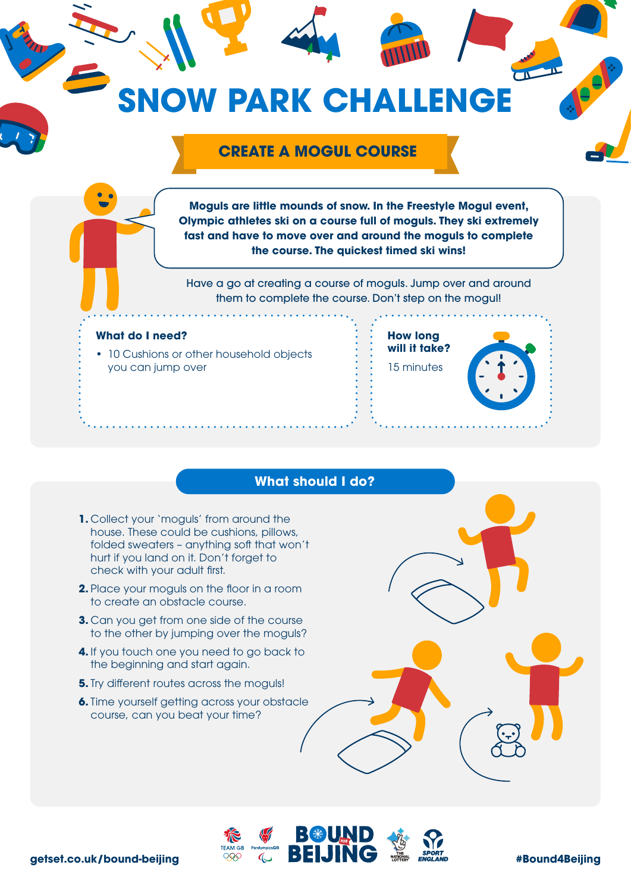

## **What should I do?**

- **1.** Collect your 'moguls' from around the house. These could be cushions, pillows, folded sweaters – anything soft that won't hurt if you land on it. Don't forget to check with your adult first.
- **2.** Place your moguls on the floor in a room to create an obstacle course.
- **3.** Can you get from one side of the course to the other by jumping over the moguls?
- **4.** If you touch one you need to go back to the beginning and start again.
- **5.** Try different routes across the moguls!
- **6.** Time yourself getting across your obstacle course, can you beat your time?